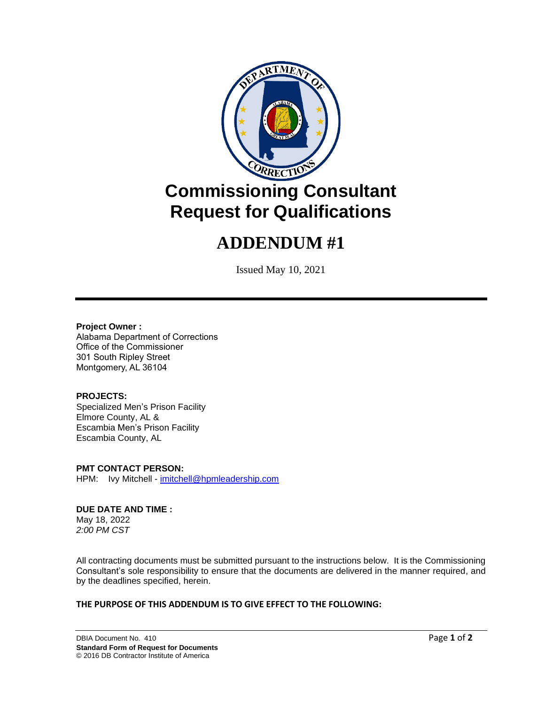

# **ADDENDUM #1**

Issued May 10, 2021

#### **Project Owner :**

Alabama Department of Corrections Office of the Commissioner 301 South Ripley Street Montgomery, AL 36104

## **PROJECTS:**

Specialized Men's Prison Facility Elmore County, AL & Escambia Men's Prison Facility Escambia County, AL

**PMT CONTACT PERSON:** HPM: Ivy Mitchell - [imitchell@hpmleadership.com](mailto:imitchell@hpmleadership.com)

#### **DUE DATE AND TIME :** May 18, 2022

*2:00 PM CST*

All contracting documents must be submitted pursuant to the instructions below. It is the Commissioning Consultant's sole responsibility to ensure that the documents are delivered in the manner required, and by the deadlines specified, herein.

## **THE PURPOSE OF THIS ADDENDUM IS TO GIVE EFFECT TO THE FOLLOWING:**